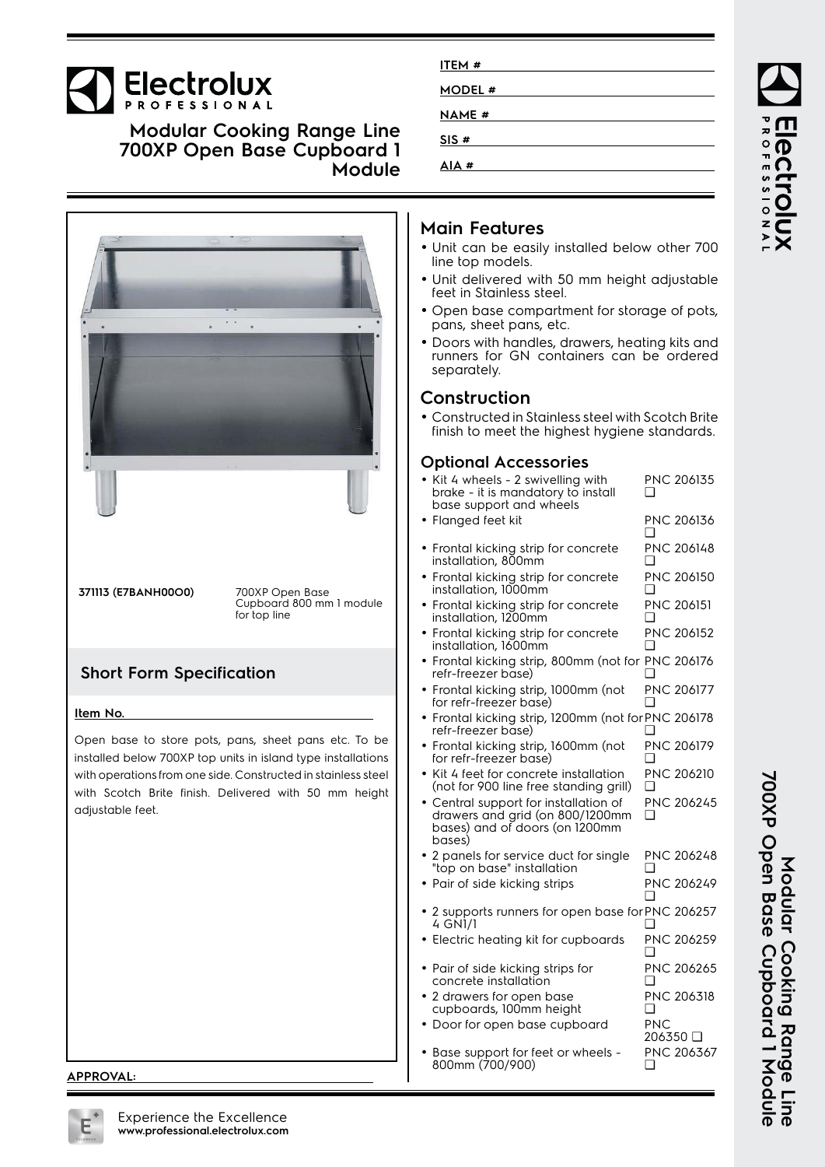# Electrolux

**Modular Cooking Range Line 700XP Open Base Cupboard 1 Module**



# **Main Features**

**ITEM # MODEL # NAME # SIS # AIA #**

- Unit can be easily installed below other 700 line top models.
- Unit delivered with 50 mm height adjustable feet in Stainless steel.
- Open base compartment for storage of pots, pans, sheet pans, etc.
- Doors with handles, drawers, heating kits and runners for GN containers can be ordered separately.

### **Construction**

• Constructed in Stainless steel with Scotch Brite finish to meet the highest hygiene standards.

#### **Optional Accessories**

| • Kit 4 wheels - 2 swivelling with<br>brake - it is mandatory to install<br>base support and wheels                  |     | PNC 206135        |
|----------------------------------------------------------------------------------------------------------------------|-----|-------------------|
| · Flanged feet kit                                                                                                   |     | PNC 206136        |
| • Frontal kicking strip for concrete<br>installation, 800mm                                                          |     | <b>PNC 206148</b> |
| • Frontal kicking strip for concrete<br>installation, 1000mm                                                         |     | PNC 206150        |
| Frontal kicking strip for concrete<br>installation, 1200mm                                                           | □   | <b>PNC 206151</b> |
| • Frontal kicking strip for concrete<br>installation, 1600mm                                                         |     | PNC 206152        |
| · Frontal kicking strip, 800mm (not for PNC 206176<br>refr-freezer base)                                             |     |                   |
| Frontal kicking strip, 1000mm (not<br>for refr-freezer base)                                                         |     | <b>PNC 206177</b> |
| Frontal kicking strip, 1200mm (not for PNC 206178<br>refr-freezer base)                                              |     |                   |
| · Frontal kicking strip, 1600mm (not<br>for refr-freezer base)                                                       |     | PNC 206179        |
| • Kit 4 feet for concrete installation<br>(not for 900 line free standing grill)                                     |     | <b>PNC 206210</b> |
| • Central support for installation of<br>drawers and grid (on 800/1200mm<br>bases) and of doors (on 1200mm<br>bases) |     | <b>PNC 206245</b> |
| • 2 panels for service duct for single<br>"top on base" installation                                                 | □   | PNC 206248        |
| • Pair of side kicking strips                                                                                        |     | PNC 206249        |
| • 2 supports runners for open base for PNC 206257<br>4 GNI/I                                                         |     |                   |
| Electric heating kit for cupboards                                                                                   |     | PNC 206259        |
| · Pair of side kicking strips for<br>concrete installation                                                           |     | PNC 206265        |
| • 2 drawers for open base<br>cupboards, 100mm height                                                                 | □   | PNC 206318        |
| • Door for open base cupboard                                                                                        | PNC | 206350 □          |
| • Base support for feet or wheels -<br>800mm (700/900)                                                               | ❏   | PNC 206367        |

# PROFESSIONAI **IBCLI**

**700XP Open Base Cupboard 1 Module** 700XP Open Base Cupboard I Module Modular Cooking Range Line **Modular Cooking Range Line**

**APPROVAL:**

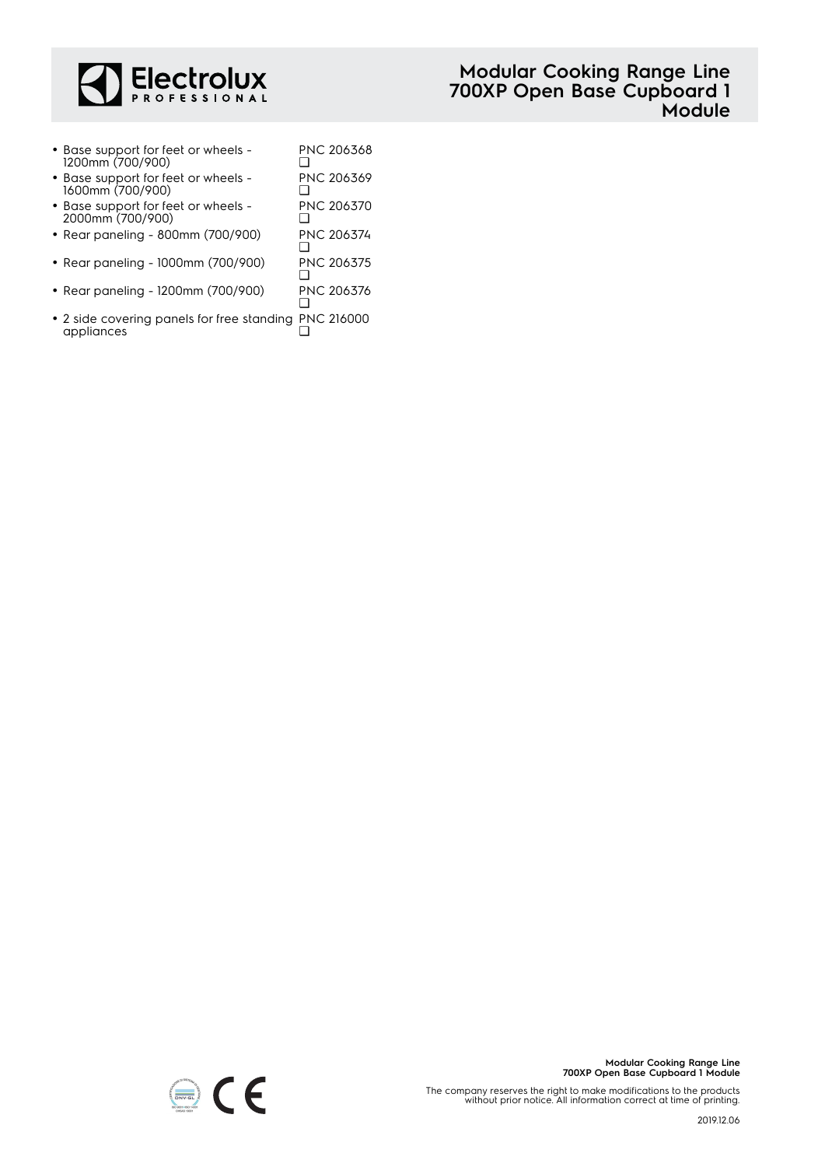

• Base support for feet or wheels - 1200mm (700/900) PNC 206368  $\Box$ • Base support for feet or wheels - 1600mm (700/900) PNC 206369 ❑ • Base support for feet or wheels - PNC 206370

 $\Box$ 

- 2000mm (700/900)
- Rear paneling 800mm (700/900) PNC 206374 ❑
- Rear paneling 1000mm (700/900) PNC 206375 PNC 206375
- Rear paneling 1200mm (700/900) PNC 206376 ❑
- 2 side covering panels for free standing PNC 216000 appliances  $\Box$